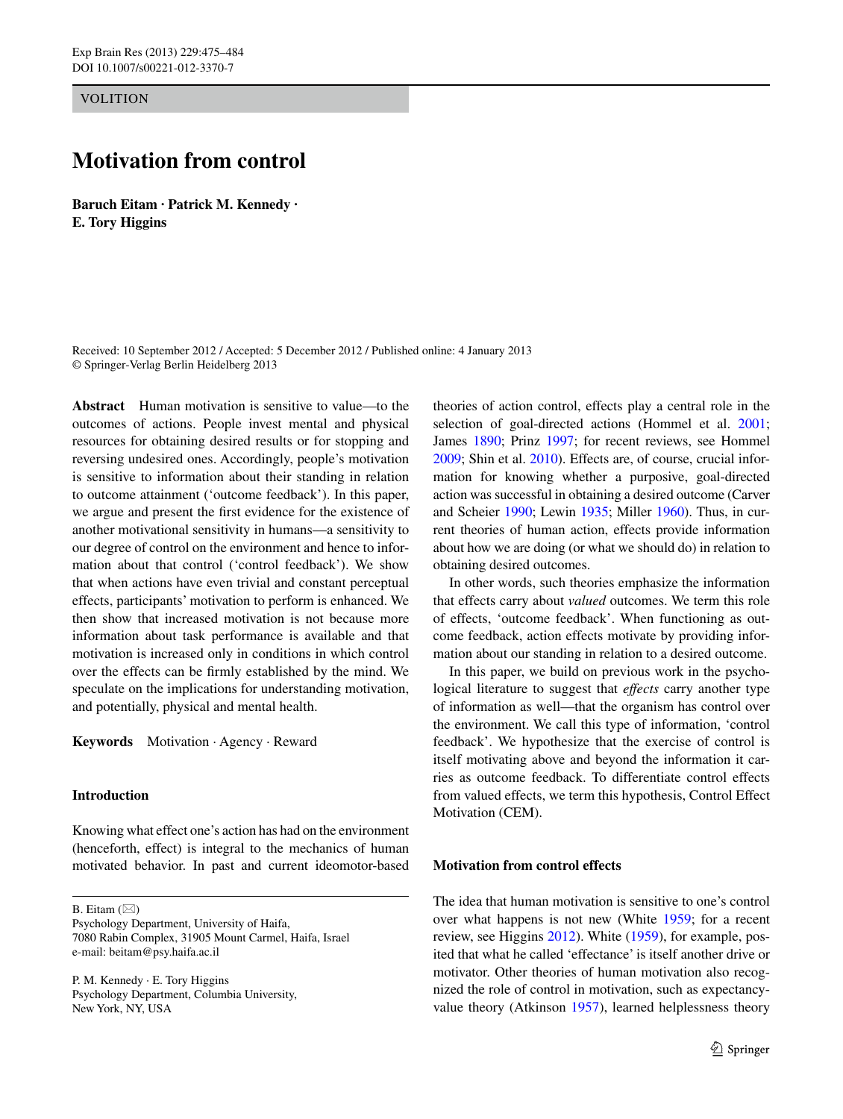VOLITION

# **Motivation from control**

**Baruch Eitam · Patrick M. Kennedy · E. Tory Higgins**

Received: 10 September 2012 / Accepted: 5 December 2012 / Published online: 4 January 2013 © Springer-Verlag Berlin Heidelberg 2013

**Abstract** Human motivation is sensitive to value—to the outcomes of actions. People invest mental and physical resources for obtaining desired results or for stopping and reversing undesired ones. Accordingly, people's motivation is sensitive to information about their standing in relation to outcome attainment ('outcome feedback'). In this paper, we argue and present the first evidence for the existence of another motivational sensitivity in humans—a sensitivity to our degree of control on the environment and hence to information about that control ('control feedback'). We show that when actions have even trivial and constant perceptual effects, participants' motivation to perform is enhanced. We then show that increased motivation is not because more information about task performance is available and that motivation is increased only in conditions in which control over the effects can be firmly established by the mind. We speculate on the implications for understanding motivation, and potentially, physical and mental health.

**Keywords** Motivation · Agency · Reward

# **Introduction**

Knowing what effect one's action has had on the environment (henceforth, effect) is integral to the mechanics of human motivated behavior. In past and current ideomotor-based

B. Eitam  $(\boxtimes)$ 

Psychology Department, University of Haifa, 7080 Rabin Complex, 31905 Mount Carmel, Haifa, Israel e-mail: beitam@psy.haifa.ac.il

P. M. Kennedy · E. Tory Higgins Psychology Department, Columbia University, New York, NY, USA

theories of action control, effects play a central role in the selection of goal-directed actions (Hommel et al. [2001](#page-8-0); James [1890](#page-8-1); Prinz [1997;](#page-8-2) for recent reviews, see Hommel [2009;](#page-8-3) Shin et al. [2010](#page-9-0)). Effects are, of course, crucial information for knowing whether a purposive, goal-directed action was successful in obtaining a desired outcome (Carver and Scheier [1990](#page-8-4); Lewin [1935](#page-8-5); Miller [1960\)](#page-8-6). Thus, in current theories of human action, effects provide information about how we are doing (or what we should do) in relation to obtaining desired outcomes.

In other words, such theories emphasize the information that effects carry about *valued* outcomes. We term this role of effects, 'outcome feedback'. When functioning as outcome feedback, action effects motivate by providing information about our standing in relation to a desired outcome.

In this paper, we build on previous work in the psychological literature to suggest that *effects* carry another type of information as well—that the organism has control over the environment. We call this type of information, 'control feedback'. We hypothesize that the exercise of control is itself motivating above and beyond the information it carries as outcome feedback. To differentiate control effects from valued effects, we term this hypothesis, Control Effect Motivation (CEM).

# **Motivation from control effects**

The idea that human motivation is sensitive to one's control over what happens is not new (White [1959](#page-9-1); for a recent review, see Higgins [2012\)](#page-8-7). White [\(1959](#page-9-1)), for example, posited that what he called 'effectance' is itself another drive or motivator. Other theories of human motivation also recognized the role of control in motivation, such as expectancyvalue theory (Atkinson [1957\)](#page-8-8), learned helplessness theory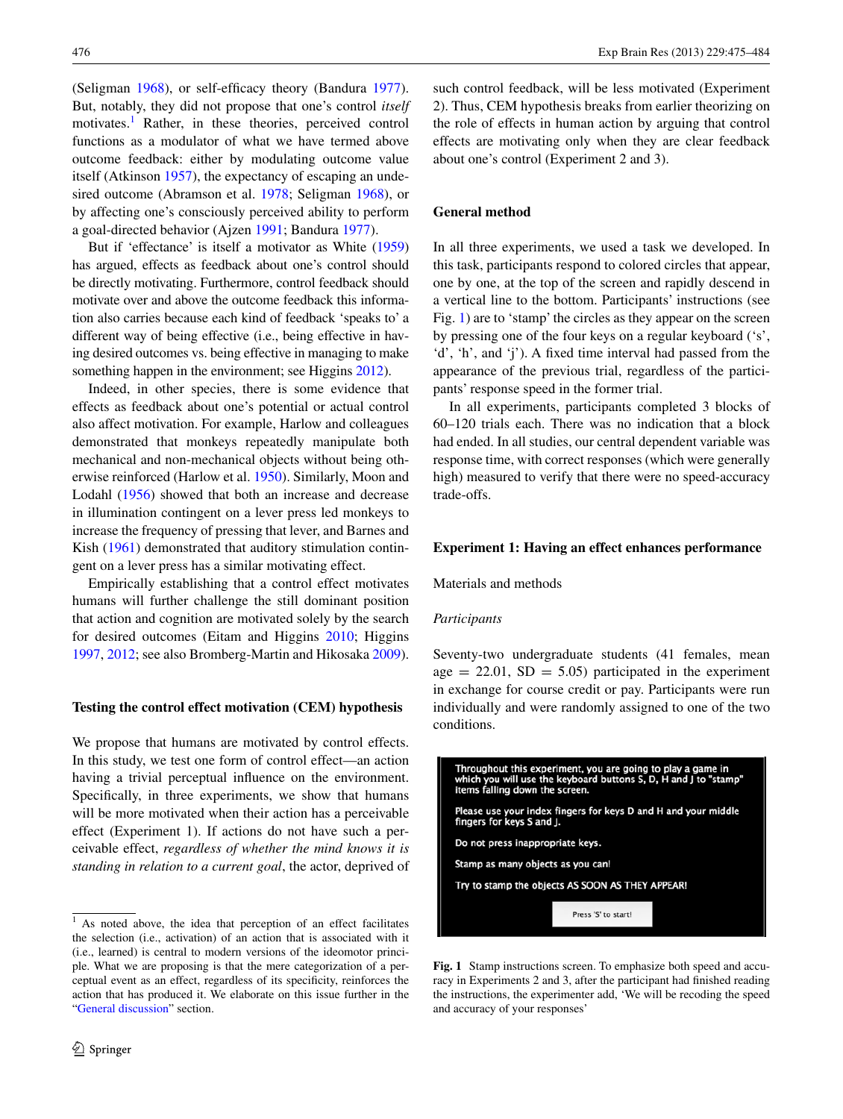(Seligman [1968](#page-9-2)), or self-efficacy theory (Bandura [1977](#page-8-9)). But, notably, they did not propose that one's control *itself* motivates.[1](#page-1-0) Rather, in these theories, perceived control functions as a modulator of what we have termed above outcome feedback: either by modulating outcome value itself (Atkinson [1957\)](#page-8-8), the expectancy of escaping an undesired outcome (Abramson et al. [1978](#page-8-10); Seligman [1968\)](#page-9-2), or by affecting one's consciously perceived ability to perform a goal-directed behavior (Ajzen [1991](#page-8-11); Bandura [1977\)](#page-8-9).

But if 'effectance' is itself a motivator as White [\(1959\)](#page-9-1) has argued, effects as feedback about one's control should be directly motivating. Furthermore, control feedback should motivate over and above the outcome feedback this information also carries because each kind of feedback 'speaks to' a different way of being effective (i.e., being effective in having desired outcomes vs. being effective in managing to make something happen in the environment; see Higgins [2012](#page-8-7)).

Indeed, in other species, there is some evidence that effects as feedback about one's potential or actual control also affect motivation. For example, Harlow and colleagues demonstrated that monkeys repeatedly manipulate both mechanical and non-mechanical objects without being otherwise reinforced (Harlow et al. [1950](#page-8-12)). Similarly, Moon and Lodahl [\(1956](#page-8-13)) showed that both an increase and decrease in illumination contingent on a lever press led monkeys to increase the frequency of pressing that lever, and Barnes and Kish [\(1961](#page-8-14)) demonstrated that auditory stimulation contingent on a lever press has a similar motivating effect.

Empirically establishing that a control effect motivates humans will further challenge the still dominant position that action and cognition are motivated solely by the search for desired outcomes (Eitam and Higgins [2010](#page-8-15); Higgins [1997](#page-8-16), [2012;](#page-8-7) see also Bromberg-Martin and Hikosaka [2009](#page-8-17)).

#### **Testing the control effect motivation (CEM) hypothesis**

We propose that humans are motivated by control effects. In this study, we test one form of control effect—an action having a trivial perceptual influence on the environment. Specifically, in three experiments, we show that humans will be more motivated when their action has a perceivable effect (Experiment 1). If actions do not have such a perceivable effect, *regardless of whether the mind knows it is standing in relation to a current goal*, the actor, deprived of

such control feedback, will be less motivated (Experiment 2). Thus, CEM hypothesis breaks from earlier theorizing on the role of effects in human action by arguing that control effects are motivating only when they are clear feedback about one's control (Experiment 2 and 3).

#### **General method**

In all three experiments, we used a task we developed. In this task, participants respond to colored circles that appear, one by one, at the top of the screen and rapidly descend in a vertical line to the bottom. Participants' instructions (see Fig. [1](#page-1-1)) are to 'stamp' the circles as they appear on the screen by pressing one of the four keys on a regular keyboard ('s', 'd', 'h', and 'j'). A fixed time interval had passed from the appearance of the previous trial, regardless of the participants' response speed in the former trial.

In all experiments, participants completed 3 blocks of 60–120 trials each. There was no indication that a block had ended. In all studies, our central dependent variable was response time, with correct responses (which were generally high) measured to verify that there were no speed-accuracy trade-offs.

## **Experiment 1: Having an effect enhances performance**

Materials and methods

#### *Participants*

Seventy-two undergraduate students (41 females, mean age  $= 22.01$ , SD  $= 5.05$ ) participated in the experiment in exchange for course credit or pay. Participants were run individually and were randomly assigned to one of the two conditions.

<span id="page-1-1"></span>

**Fig. 1** Stamp instructions screen. To emphasize both speed and accuracy in Experiments 2 and 3, after the participant had finished reading the instructions, the experimenter add, 'We will be recoding the speed and accuracy of your responses'

<span id="page-1-0"></span><sup>&</sup>lt;sup>1</sup> As noted above, the idea that perception of an effect facilitates the selection (i.e., activation) of an action that is associated with it (i.e., learned) is central to modern versions of the ideomotor principle. What we are proposing is that the mere categorization of a perceptual event as an effect, regardless of its specificity, reinforces the action that has produced it. We elaborate on this issue further in the "[General discussion](#page-5-0)" section.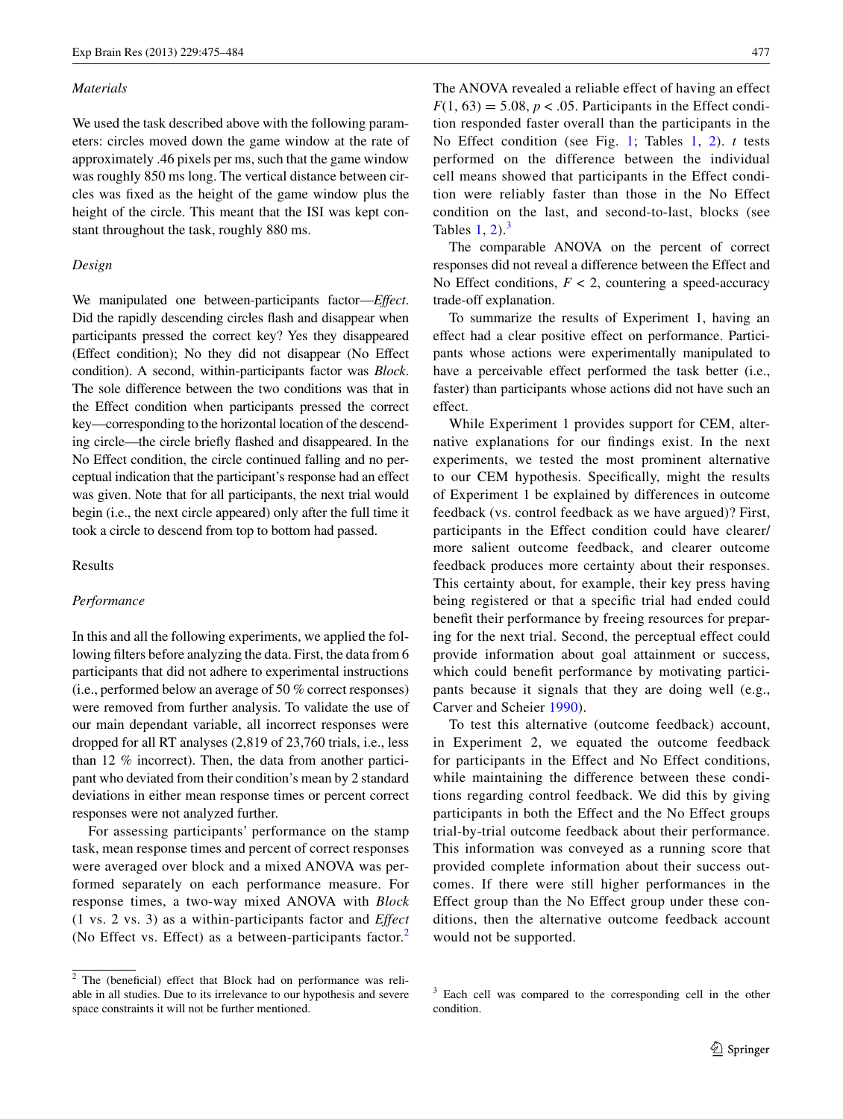#### *Materials*

We used the task described above with the following parameters: circles moved down the game window at the rate of approximately .46 pixels per ms, such that the game window was roughly 850 ms long. The vertical distance between circles was fixed as the height of the game window plus the height of the circle. This meant that the ISI was kept constant throughout the task, roughly 880 ms.

## *Design*

We manipulated one between-participants factor—*Effect*. Did the rapidly descending circles flash and disappear when participants pressed the correct key? Yes they disappeared (Effect condition); No they did not disappear (No Effect condition). A second, within-participants factor was *Block*. The sole difference between the two conditions was that in the Effect condition when participants pressed the correct key—corresponding to the horizontal location of the descending circle—the circle briefly flashed and disappeared. In the No Effect condition, the circle continued falling and no perceptual indication that the participant's response had an effect was given. Note that for all participants, the next trial would begin (i.e., the next circle appeared) only after the full time it took a circle to descend from top to bottom had passed.

#### Results

## *Performance*

In this and all the following experiments, we applied the following filters before analyzing the data. First, the data from 6 participants that did not adhere to experimental instructions (i.e., performed below an average of 50 % correct responses) were removed from further analysis. To validate the use of our main dependant variable, all incorrect responses were dropped for all RT analyses (2,819 of 23,760 trials, i.e., less than 12 % incorrect). Then, the data from another participant who deviated from their condition's mean by 2 standard deviations in either mean response times or percent correct responses were not analyzed further.

For assessing participants' performance on the stamp task, mean response times and percent of correct responses were averaged over block and a mixed ANOVA was performed separately on each performance measure. For response times, a two-way mixed ANOVA with *Block* (1 vs. 2 vs. 3) as a within-participants factor and *Effect* (No Effect vs. Effect) as a between-participants factor.<sup>[2](#page-2-0)</sup>

The ANOVA revealed a reliable effect of having an effect  $F(1, 63) = 5.08$ ,  $p < .05$ . Participants in the Effect condition responded faster overall than the participants in the No Effect condition (see Fig. [1;](#page-3-0) Tables [1](#page-3-0), [2](#page-3-1)). *t* tests performed on the difference between the individual cell means showed that participants in the Effect condition were reliably faster than those in the No Effect condition on the last, and second-to-last, blocks (see Tables  $1, 2$  $1, 2$ .<sup>[3](#page-2-1)</sup>

The comparable ANOVA on the percent of correct responses did not reveal a difference between the Effect and No Effect conditions,  $F < 2$ , countering a speed-accuracy trade-off explanation.

To summarize the results of Experiment 1, having an effect had a clear positive effect on performance. Participants whose actions were experimentally manipulated to have a perceivable effect performed the task better (i.e., faster) than participants whose actions did not have such an effect.

While Experiment 1 provides support for CEM, alternative explanations for our findings exist. In the next experiments, we tested the most prominent alternative to our CEM hypothesis. Specifically, might the results of Experiment 1 be explained by differences in outcome feedback (vs. control feedback as we have argued)? First, participants in the Effect condition could have clearer/ more salient outcome feedback, and clearer outcome feedback produces more certainty about their responses. This certainty about, for example, their key press having being registered or that a specific trial had ended could benefit their performance by freeing resources for preparing for the next trial. Second, the perceptual effect could provide information about goal attainment or success, which could benefit performance by motivating participants because it signals that they are doing well (e.g., Carver and Scheier [1990\)](#page-8-4).

To test this alternative (outcome feedback) account, in Experiment 2, we equated the outcome feedback for participants in the Effect and No Effect conditions, while maintaining the difference between these conditions regarding control feedback. We did this by giving participants in both the Effect and the No Effect groups trial-by-trial outcome feedback about their performance. This information was conveyed as a running score that provided complete information about their success outcomes. If there were still higher performances in the Effect group than the No Effect group under these conditions, then the alternative outcome feedback account would not be supported.

<span id="page-2-0"></span><sup>2</sup> The (beneficial) effect that Block had on performance was reliable in all studies. Due to its irrelevance to our hypothesis and severe space constraints it will not be further mentioned.

<span id="page-2-1"></span><sup>&</sup>lt;sup>3</sup> Each cell was compared to the corresponding cell in the other condition.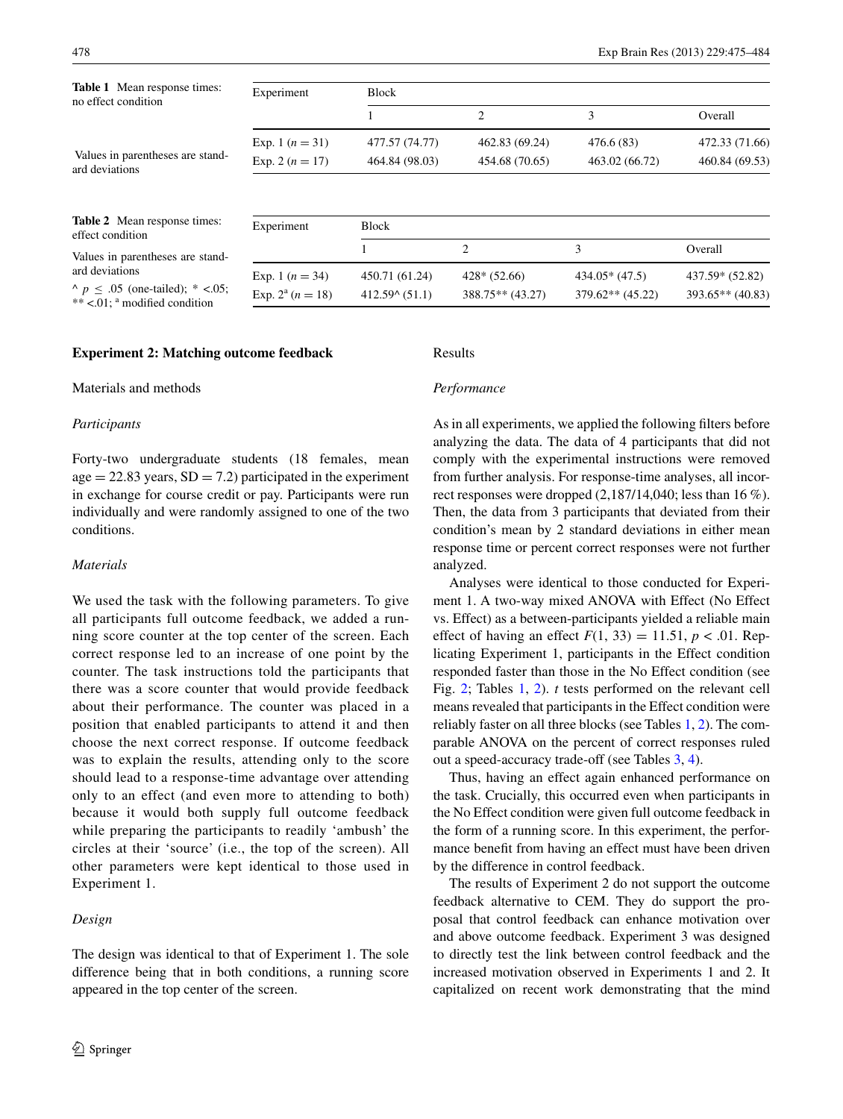478 Exp Brain Res (2013) 229:475–484

<span id="page-3-1"></span><span id="page-3-0"></span>

| <b>Table 1</b> Mean response times:<br>no effect condition                               | Experiment          | <b>Block</b>            |                  |                    |                    |
|------------------------------------------------------------------------------------------|---------------------|-------------------------|------------------|--------------------|--------------------|
|                                                                                          |                     |                         | $\overline{c}$   | 3                  | Overall            |
|                                                                                          | Exp. 1 $(n = 31)$   | 477.57 (74.77)          | 462.83 (69.24)   | 476.6 (83)         | 472.33 (71.66)     |
| Values in parentheses are stand-<br>ard deviations                                       | Exp. 2 ( $n = 17$ ) | 464.84 (98.03)          | 454.68 (70.65)   | 463.02 (66.72)     | 460.84 (69.53)     |
| <b>Table 2</b> Mean response times:<br>effect condition                                  | Experiment          | <b>Block</b>            |                  |                    |                    |
| Values in parentheses are stand-                                                         |                     |                         | $\overline{c}$   | 3                  | Overall            |
| ard deviations                                                                           | Exp. 1 ( $n = 34$ ) | 450.71 (61.24)          | $428*(52.66)$    | $434.05*(47.5)$    | $437.59*(52.82)$   |
| $\land p < .05$ (one-tailed); * <.05;<br>** $\lt 0.01$ ; <sup>a</sup> modified condition | Exp. $2^a (n = 18)$ | $412.59^{\circ} (51.1)$ | 388.75** (43.27) | $379.62**$ (45.22) | $393.65**$ (40.83) |

## **Experiment 2: Matching outcome feedback**

## Materials and methods

#### *Participants*

Forty-two undergraduate students (18 females, mean age  $= 22.83$  years,  $SD = 7.2$ ) participated in the experiment in exchange for course credit or pay. Participants were run individually and were randomly assigned to one of the two conditions.

## *Materials*

We used the task with the following parameters. To give all participants full outcome feedback, we added a running score counter at the top center of the screen. Each correct response led to an increase of one point by the counter. The task instructions told the participants that there was a score counter that would provide feedback about their performance. The counter was placed in a position that enabled participants to attend it and then choose the next correct response. If outcome feedback was to explain the results, attending only to the score should lead to a response-time advantage over attending only to an effect (and even more to attending to both) because it would both supply full outcome feedback while preparing the participants to readily 'ambush' the circles at their 'source' (i.e., the top of the screen). All other parameters were kept identical to those used in Experiment 1.

## *Design*

The design was identical to that of Experiment 1. The sole difference being that in both conditions, a running score appeared in the top center of the screen.

## Results

#### *Performance*

As in all experiments, we applied the following filters before analyzing the data. The data of 4 participants that did not comply with the experimental instructions were removed from further analysis. For response-time analyses, all incorrect responses were dropped  $(2,187/14,040;$  less than 16 %). Then, the data from 3 participants that deviated from their condition's mean by 2 standard deviations in either mean response time or percent correct responses were not further analyzed.

Analyses were identical to those conducted for Experiment 1. A two-way mixed ANOVA with Effect (No Effect vs. Effect) as a between-participants yielded a reliable main effect of having an effect  $F(1, 33) = 11.51$ ,  $p < .01$ . Replicating Experiment 1, participants in the Effect condition responded faster than those in the No Effect condition (see Fig. [2;](#page-4-0) Tables [1](#page-3-0), [2](#page-3-1)). *t* tests performed on the relevant cell means revealed that participants in the Effect condition were reliably faster on all three blocks (see Tables [1,](#page-3-0) [2](#page-3-1)). The comparable ANOVA on the percent of correct responses ruled out a speed-accuracy trade-off (see Tables [3](#page-4-1), [4](#page-4-2)).

Thus, having an effect again enhanced performance on the task. Crucially, this occurred even when participants in the No Effect condition were given full outcome feedback in the form of a running score. In this experiment, the performance benefit from having an effect must have been driven by the difference in control feedback.

The results of Experiment 2 do not support the outcome feedback alternative to CEM. They do support the proposal that control feedback can enhance motivation over and above outcome feedback. Experiment 3 was designed to directly test the link between control feedback and the increased motivation observed in Experiments 1 and 2. It capitalized on recent work demonstrating that the mind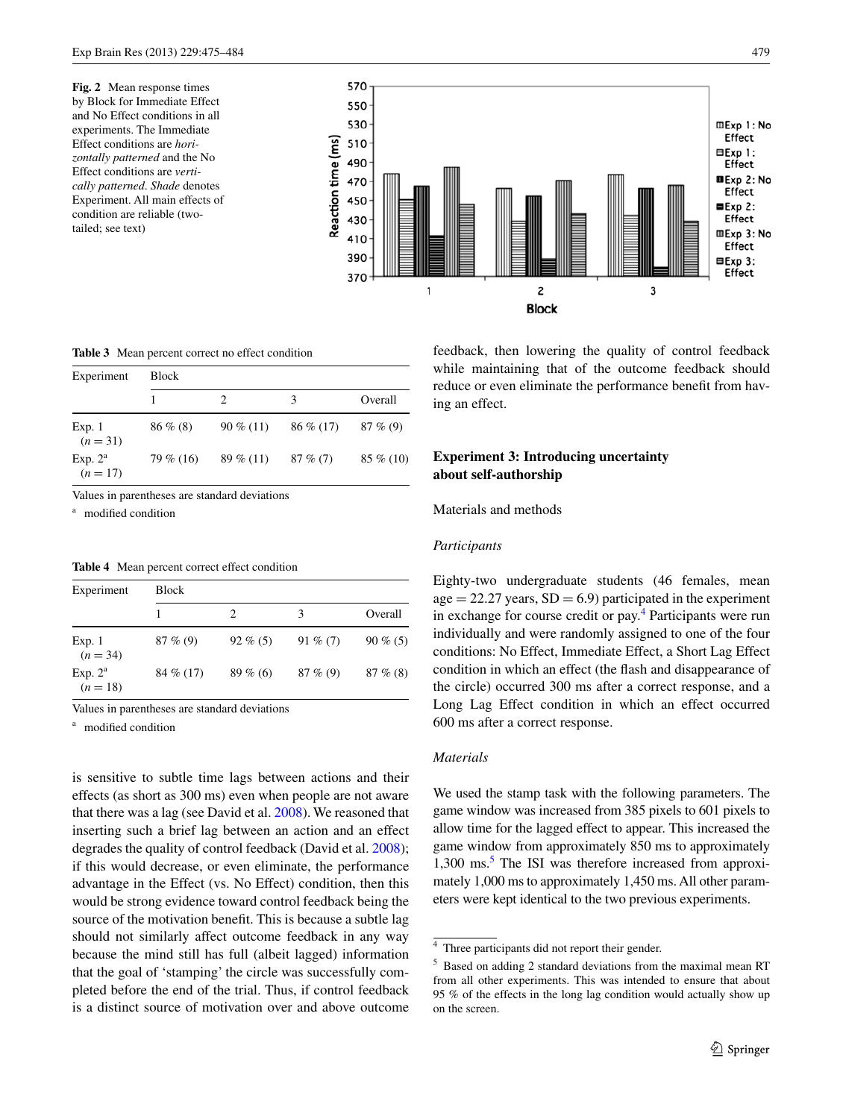<span id="page-4-0"></span>**Fig. 2** Mean response times by Block for Immediate Effect and No Effect conditions in all experiments. The Immediate Effect conditions are *horizontally patterned* and the No Effect conditions are *vertically patterned*. *Shade* denotes Experiment. All main effects of condition are reliable (twotailed; see text)



<span id="page-4-1"></span>**Table 3** Mean percent correct no effect condition

| Experiment               | <b>Block</b> |                |             |             |
|--------------------------|--------------|----------------|-------------|-------------|
|                          |              | $\mathfrak{D}$ | 3           | Overall     |
| Exp.1<br>$(n=31)$        | $86\%$ (8)   | $90\%$ (11)    | $86\%$ (17) | $87\%$ (9)  |
| Exp. $2^a$<br>$(n = 17)$ | 79 % (16)    | $89\%$ (11)    | $87\%$ (7)  | $85\%$ (10) |

Values in parentheses are standard deviations

modified condition

<span id="page-4-2"></span>**Table 4** Mean percent correct effect condition

| Experiment               | <b>Block</b> |            |            |            |
|--------------------------|--------------|------------|------------|------------|
|                          |              | 2.         | 3          | Overall    |
| Exp.1<br>$(n = 34)$      | $87\%$ (9)   | $92\%$ (5) | $91\%$ (7) | $90\%$ (5) |
| Exp. $2^a$<br>$(n = 18)$ | $84\%$ (17)  | $89\%$ (6) | $87\%$ (9) | $87\%$ (8) |

Values in parentheses are standard deviations

<sup>a</sup> modified condition

is sensitive to subtle time lags between actions and their effects (as short as 300 ms) even when people are not aware that there was a lag (see David et al. [2008\)](#page-8-18). We reasoned that inserting such a brief lag between an action and an effect degrades the quality of control feedback (David et al. [2008](#page-8-18)); if this would decrease, or even eliminate, the performance advantage in the Effect (vs. No Effect) condition, then this would be strong evidence toward control feedback being the source of the motivation benefit. This is because a subtle lag should not similarly affect outcome feedback in any way because the mind still has full (albeit lagged) information that the goal of 'stamping' the circle was successfully completed before the end of the trial. Thus, if control feedback is a distinct source of motivation over and above outcome

feedback, then lowering the quality of control feedback while maintaining that of the outcome feedback should reduce or even eliminate the performance benefit from having an effect.

# **Experiment 3: Introducing uncertainty about self-authorship**

Materials and methods

#### *Participants*

Eighty-two undergraduate students (46 females, mean  $age = 22.27 \text{ years}, SD = 6.9)$  participated in the experiment in exchange for course credit or pay.<sup>[4](#page-4-3)</sup> Participants were run individually and were randomly assigned to one of the four conditions: No Effect, Immediate Effect, a Short Lag Effect condition in which an effect (the flash and disappearance of the circle) occurred 300 ms after a correct response, and a Long Lag Effect condition in which an effect occurred 600 ms after a correct response.

## *Materials*

We used the stamp task with the following parameters. The game window was increased from 385 pixels to 601 pixels to allow time for the lagged effect to appear. This increased the game window from approximately 850 ms to approximately 1,300 ms.<sup>5</sup> The ISI was therefore increased from approximately 1,000 ms to approximately 1,450 ms. All other parameters were kept identical to the two previous experiments.

<span id="page-4-3"></span><sup>&</sup>lt;sup>4</sup> Three participants did not report their gender.

<span id="page-4-4"></span><sup>5</sup> Based on adding 2 standard deviations from the maximal mean RT from all other experiments. This was intended to ensure that about 95 % of the effects in the long lag condition would actually show up on the screen.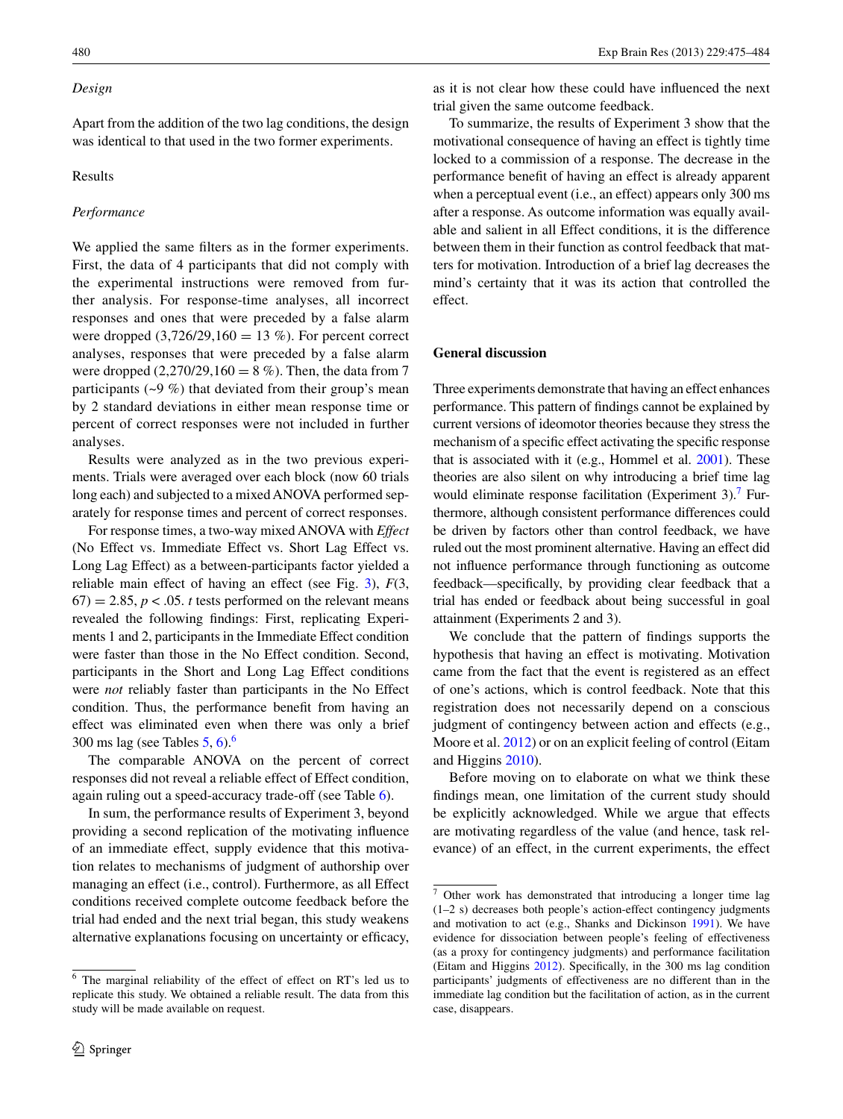#### *Design*

Apart from the addition of the two lag conditions, the design was identical to that used in the two former experiments.

# Results

### *Performance*

We applied the same filters as in the former experiments. First, the data of 4 participants that did not comply with the experimental instructions were removed from further analysis. For response-time analyses, all incorrect responses and ones that were preceded by a false alarm were dropped  $(3,726/29,160 = 13\%)$ . For percent correct analyses, responses that were preceded by a false alarm were dropped  $(2,270/29,160 = 8\%)$ . Then, the data from 7 participants  $(-9, %)$  that deviated from their group's mean by 2 standard deviations in either mean response time or percent of correct responses were not included in further analyses.

Results were analyzed as in the two previous experiments. Trials were averaged over each block (now 60 trials long each) and subjected to a mixed ANOVA performed separately for response times and percent of correct responses.

For response times, a two-way mixed ANOVA with *Effect* (No Effect vs. Immediate Effect vs. Short Lag Effect vs. Long Lag Effect) as a between-participants factor yielded a reliable main effect of having an effect (see Fig. [3\)](#page-6-0), *F*(3,  $(67) = 2.85, p < .05$ . *t* tests performed on the relevant means revealed the following findings: First, replicating Experiments 1 and 2, participants in the Immediate Effect condition were faster than those in the No Effect condition. Second, participants in the Short and Long Lag Effect conditions were *not* reliably faster than participants in the No Effect condition. Thus, the performance benefit from having an effect was eliminated even when there was only a brief 300 ms lag (see Tables  $5, 6$  $5, 6$  $5, 6$ ).<sup>6</sup>

The comparable ANOVA on the percent of correct responses did not reveal a reliable effect of Effect condition, again ruling out a speed-accuracy trade-off (see Table [6\)](#page-6-2).

In sum, the performance results of Experiment 3, beyond providing a second replication of the motivating influence of an immediate effect, supply evidence that this motivation relates to mechanisms of judgment of authorship over managing an effect (i.e., control). Furthermore, as all Effect conditions received complete outcome feedback before the trial had ended and the next trial began, this study weakens alternative explanations focusing on uncertainty or efficacy,

as it is not clear how these could have influenced the next trial given the same outcome feedback.

To summarize, the results of Experiment 3 show that the motivational consequence of having an effect is tightly time locked to a commission of a response. The decrease in the performance benefit of having an effect is already apparent when a perceptual event (i.e., an effect) appears only 300 ms after a response. As outcome information was equally available and salient in all Effect conditions, it is the difference between them in their function as control feedback that matters for motivation. Introduction of a brief lag decreases the mind's certainty that it was its action that controlled the effect.

## <span id="page-5-0"></span>**General discussion**

Three experiments demonstrate that having an effect enhances performance. This pattern of findings cannot be explained by current versions of ideomotor theories because they stress the mechanism of a specific effect activating the specific response that is associated with it (e.g., Hommel et al. [2001\)](#page-8-0). These theories are also silent on why introducing a brief time lag would eliminate response facilitation (Experiment 3).<sup>[7](#page-5-2)</sup> Furthermore, although consistent performance differences could be driven by factors other than control feedback, we have ruled out the most prominent alternative. Having an effect did not influence performance through functioning as outcome feedback—specifically, by providing clear feedback that a trial has ended or feedback about being successful in goal attainment (Experiments 2 and 3).

We conclude that the pattern of findings supports the hypothesis that having an effect is motivating. Motivation came from the fact that the event is registered as an effect of one's actions, which is control feedback. Note that this registration does not necessarily depend on a conscious judgment of contingency between action and effects (e.g., Moore et al. [2012\)](#page-8-19) or on an explicit feeling of control (Eitam and Higgins [2010](#page-8-15)).

Before moving on to elaborate on what we think these findings mean, one limitation of the current study should be explicitly acknowledged. While we argue that effects are motivating regardless of the value (and hence, task relevance) of an effect, in the current experiments, the effect

<span id="page-5-1"></span><sup>6</sup> The marginal reliability of the effect of effect on RT's led us to replicate this study. We obtained a reliable result. The data from this study will be made available on request.

<span id="page-5-2"></span><sup>7</sup> Other work has demonstrated that introducing a longer time lag (1–2 s) decreases both people's action-effect contingency judgments and motivation to act (e.g., Shanks and Dickinson [1991\)](#page-9-3). We have evidence for dissociation between people's feeling of effectiveness (as a proxy for contingency judgments) and performance facilitation (Eitam and Higgins [2012](#page-8-20)). Specifically, in the 300 ms lag condition participants' judgments of effectiveness are no different than in the immediate lag condition but the facilitation of action, as in the current case, disappears.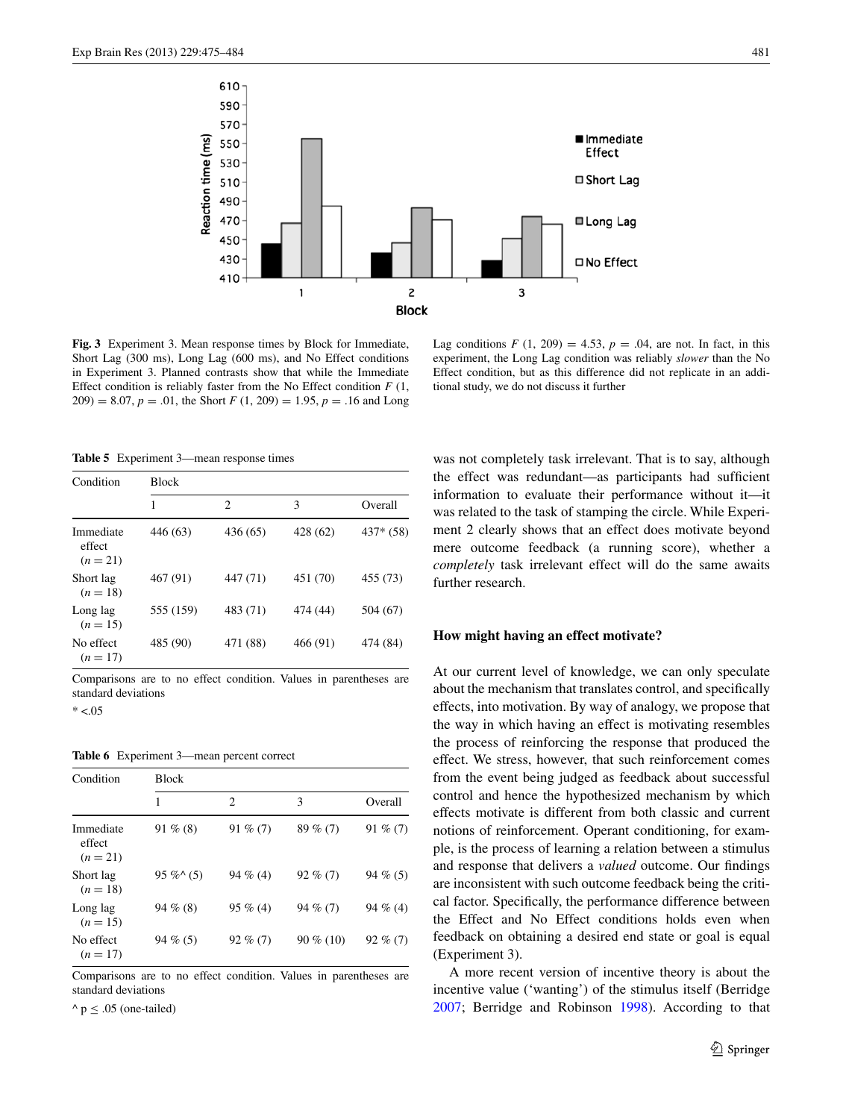

<span id="page-6-0"></span>**Fig. 3** Experiment 3. Mean response times by Block for Immediate, Short Lag (300 ms), Long Lag (600 ms), and No Effect conditions in Experiment 3. Planned contrasts show that while the Immediate Effect condition is reliably faster from the No Effect condition *F* (1,  $209$ ) = 8.07,  $p = .01$ , the Short  $F(1, 209) = 1.95$ ,  $p = .16$  and Long

Lag conditions *F* (1, 209) = 4.53,  $p = .04$ , are not. In fact, in this experiment, the Long Lag condition was reliably *slower* than the No Effect condition, but as this difference did not replicate in an additional study, we do not discuss it further

<span id="page-6-1"></span>**Table 5** Experiment 3—mean response times

| Condition                         | <b>Block</b> |                             |          |            |  |
|-----------------------------------|--------------|-----------------------------|----------|------------|--|
|                                   | 1            | $\mathcal{D}_{\mathcal{L}}$ | 3        | Overall    |  |
| Immediate<br>effect<br>$(n = 21)$ | 446 (63)     | 436 (65)                    | 428 (62) | $437*(58)$ |  |
| Short lag<br>$(n = 18)$           | 467 (91)     | 447 (71)                    | 451 (70) | 455 (73)   |  |
| Long lag<br>$(n = 15)$            | 555 (159)    | 483 (71)                    | 474 (44) | 504 (67)   |  |
| No effect<br>$(n = 17)$           | 485 (90)     | 471 (88)                    | 466 (91) | 474 (84)   |  |

Comparisons are to no effect condition. Values in parentheses are standard deviations

 $* < .05$ 

<span id="page-6-2"></span>

|  | Table 6 Experiment 3—mean percent correct |  |  |
|--|-------------------------------------------|--|--|
|--|-------------------------------------------|--|--|

| Condition                         | <b>Block</b>       |            |             |            |  |
|-----------------------------------|--------------------|------------|-------------|------------|--|
|                                   |                    | 2          | 3           | Overall    |  |
| Immediate<br>effect<br>$(n = 21)$ | 91 % $(8)$         | $91\%$ (7) | $89\%$ (7)  | $91\%$ (7) |  |
| Short lag<br>$(n = 18)$           | $95\%^{\wedge}(5)$ | $94\%$ (4) | $92\%$ (7)  | $94\%$ (5) |  |
| Long lag<br>$(n = 15)$            | $94\%$ (8)         | $95\%$ (4) | $94\%$ (7)  | 94 $% (4)$ |  |
| No effect<br>$(n = 17)$           | 94 $% (5)$         | $92\%$ (7) | $90\%$ (10) | $92\%$ (7) |  |

Comparisons are to no effect condition. Values in parentheses are standard deviations

 $\land$  p  $\leq$  .05 (one-tailed)

was not completely task irrelevant. That is to say, although the effect was redundant—as participants had sufficient information to evaluate their performance without it—it was related to the task of stamping the circle. While Experiment 2 clearly shows that an effect does motivate beyond mere outcome feedback (a running score), whether a *completely* task irrelevant effect will do the same awaits further research.

## **How might having an effect motivate?**

At our current level of knowledge, we can only speculate about the mechanism that translates control, and specifically effects, into motivation. By way of analogy, we propose that the way in which having an effect is motivating resembles the process of reinforcing the response that produced the effect. We stress, however, that such reinforcement comes from the event being judged as feedback about successful control and hence the hypothesized mechanism by which effects motivate is different from both classic and current notions of reinforcement. Operant conditioning, for example, is the process of learning a relation between a stimulus and response that delivers a *valued* outcome. Our findings are inconsistent with such outcome feedback being the critical factor. Specifically, the performance difference between the Effect and No Effect conditions holds even when feedback on obtaining a desired end state or goal is equal (Experiment 3).

A more recent version of incentive theory is about the incentive value ('wanting') of the stimulus itself (Berridge [2007](#page-8-21); Berridge and Robinson [1998](#page-8-22)). According to that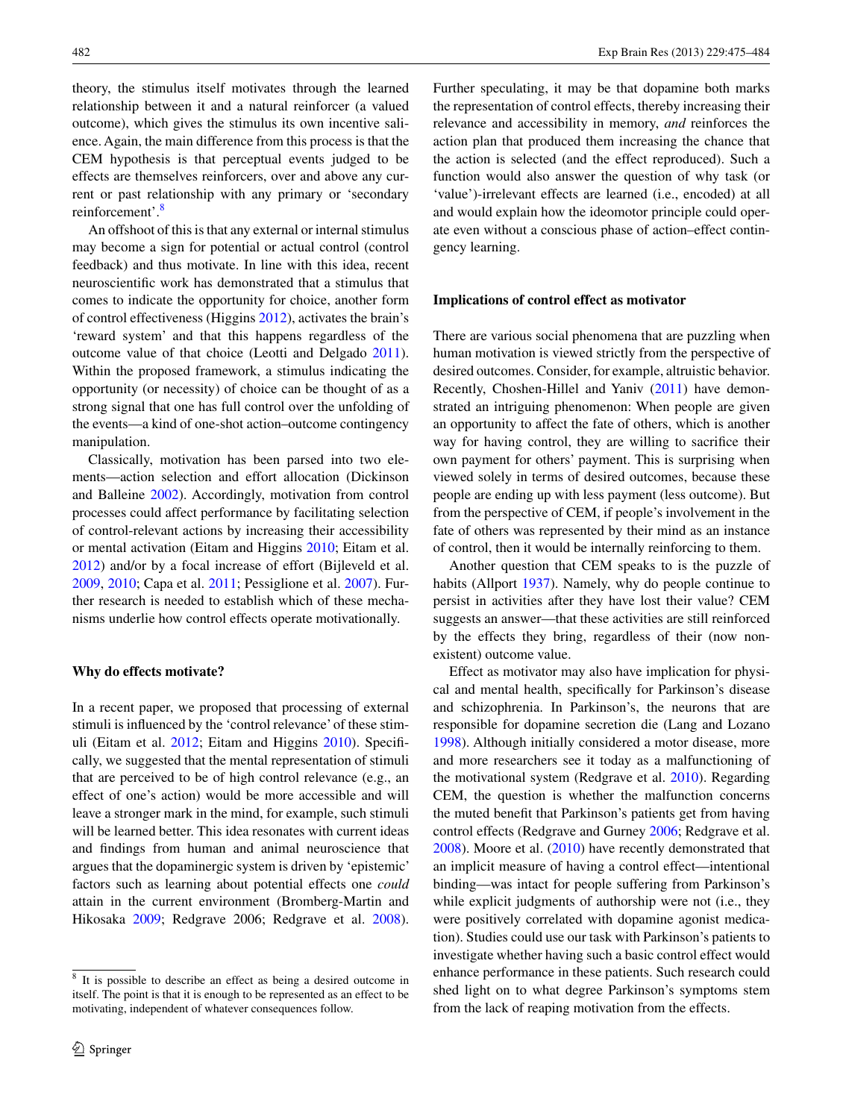theory, the stimulus itself motivates through the learned relationship between it and a natural reinforcer (a valued outcome), which gives the stimulus its own incentive salience. Again, the main difference from this process is that the CEM hypothesis is that perceptual events judged to be effects are themselves reinforcers, over and above any current or past relationship with any primary or 'secondary reinforcement'.[8](#page-7-0)

An offshoot of this is that any external or internal stimulus may become a sign for potential or actual control (control feedback) and thus motivate. In line with this idea, recent neuroscientific work has demonstrated that a stimulus that comes to indicate the opportunity for choice, another form of control effectiveness (Higgins [2012\)](#page-8-7), activates the brain's 'reward system' and that this happens regardless of the outcome value of that choice (Leotti and Delgado [2011](#page-8-23)). Within the proposed framework, a stimulus indicating the opportunity (or necessity) of choice can be thought of as a strong signal that one has full control over the unfolding of the events—a kind of one-shot action–outcome contingency manipulation.

Classically, motivation has been parsed into two elements—action selection and effort allocation (Dickinson and Balleine [2002](#page-8-24)). Accordingly, motivation from control processes could affect performance by facilitating selection of control-relevant actions by increasing their accessibility or mental activation (Eitam and Higgins [2010;](#page-8-15) Eitam et al. [2012](#page-8-25)) and/or by a focal increase of effort (Bijleveld et al. [2009](#page-8-26), [2010](#page-8-27); Capa et al. [2011](#page-8-28); Pessiglione et al. [2007\)](#page-8-29). Further research is needed to establish which of these mechanisms underlie how control effects operate motivationally.

## **Why do effects motivate?**

In a recent paper, we proposed that processing of external stimuli is influenced by the 'control relevance' of these stimuli (Eitam et al. [2012;](#page-8-25) Eitam and Higgins [2010](#page-8-15)). Specifically, we suggested that the mental representation of stimuli that are perceived to be of high control relevance (e.g., an effect of one's action) would be more accessible and will leave a stronger mark in the mind, for example, such stimuli will be learned better. This idea resonates with current ideas and findings from human and animal neuroscience that argues that the dopaminergic system is driven by 'epistemic' factors such as learning about potential effects one *could* attain in the current environment (Bromberg-Martin and Hikosaka [2009;](#page-8-17) Redgrave 2006; Redgrave et al. [2008](#page-8-30)).

<span id="page-7-0"></span><sup>8</sup> It is possible to describe an effect as being a desired outcome in itself. The point is that it is enough to be represented as an effect to be motivating, independent of whatever consequences follow.

Further speculating, it may be that dopamine both marks the representation of control effects, thereby increasing their relevance and accessibility in memory, *and* reinforces the action plan that produced them increasing the chance that the action is selected (and the effect reproduced). Such a function would also answer the question of why task (or 'value')-irrelevant effects are learned (i.e., encoded) at all and would explain how the ideomotor principle could operate even without a conscious phase of action–effect contingency learning.

#### **Implications of control effect as motivator**

There are various social phenomena that are puzzling when human motivation is viewed strictly from the perspective of desired outcomes. Consider, for example, altruistic behavior. Recently, Choshen-Hillel and Yaniv ([2011\)](#page-8-31) have demonstrated an intriguing phenomenon: When people are given an opportunity to affect the fate of others, which is another way for having control, they are willing to sacrifice their own payment for others' payment. This is surprising when viewed solely in terms of desired outcomes, because these people are ending up with less payment (less outcome). But from the perspective of CEM, if people's involvement in the fate of others was represented by their mind as an instance of control, then it would be internally reinforcing to them.

Another question that CEM speaks to is the puzzle of habits (Allport [1937\)](#page-8-32). Namely, why do people continue to persist in activities after they have lost their value? CEM suggests an answer—that these activities are still reinforced by the effects they bring, regardless of their (now nonexistent) outcome value.

Effect as motivator may also have implication for physical and mental health, specifically for Parkinson's disease and schizophrenia. In Parkinson's, the neurons that are responsible for dopamine secretion die (Lang and Lozano [1998](#page-8-33)). Although initially considered a motor disease, more and more researchers see it today as a malfunctioning of the motivational system (Redgrave et al. [2010\)](#page-8-34). Regarding CEM, the question is whether the malfunction concerns the muted benefit that Parkinson's patients get from having control effects (Redgrave and Gurney [2006](#page-8-35); Redgrave et al. [2008](#page-8-30)). Moore et al. [\(2010](#page-8-36)) have recently demonstrated that an implicit measure of having a control effect—intentional binding—was intact for people suffering from Parkinson's while explicit judgments of authorship were not (i.e., they were positively correlated with dopamine agonist medication). Studies could use our task with Parkinson's patients to investigate whether having such a basic control effect would enhance performance in these patients. Such research could shed light on to what degree Parkinson's symptoms stem from the lack of reaping motivation from the effects.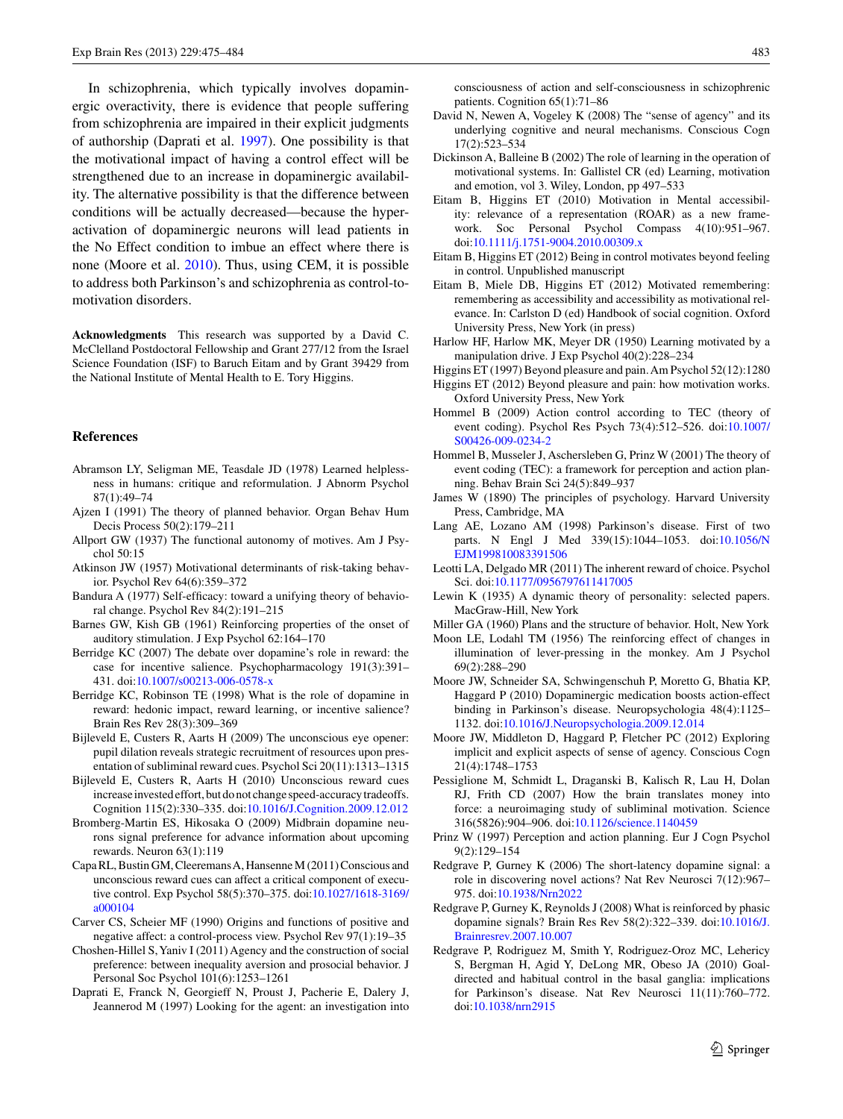In schizophrenia, which typically involves dopaminergic overactivity, there is evidence that people suffering from schizophrenia are impaired in their explicit judgments of authorship (Daprati et al. [1997](#page-8-37)). One possibility is that the motivational impact of having a control effect will be strengthened due to an increase in dopaminergic availability. The alternative possibility is that the difference between conditions will be actually decreased—because the hyperactivation of dopaminergic neurons will lead patients in the No Effect condition to imbue an effect where there is none (Moore et al. [2010](#page-8-36)). Thus, using CEM, it is possible to address both Parkinson's and schizophrenia as control-tomotivation disorders.

**Acknowledgments** This research was supported by a David C. McClelland Postdoctoral Fellowship and Grant 277/12 from the Israel Science Foundation (ISF) to Baruch Eitam and by Grant 39429 from the National Institute of Mental Health to E. Tory Higgins.

#### **References**

- <span id="page-8-10"></span>Abramson LY, Seligman ME, Teasdale JD (1978) Learned helplessness in humans: critique and reformulation. J Abnorm Psychol 87(1):49–74
- <span id="page-8-11"></span>Ajzen I (1991) The theory of planned behavior. Organ Behav Hum Decis Process 50(2):179–211
- <span id="page-8-32"></span>Allport GW (1937) The functional autonomy of motives. Am J Psychol 50:15
- <span id="page-8-8"></span>Atkinson JW (1957) Motivational determinants of risk-taking behavior. Psychol Rev 64(6):359–372
- <span id="page-8-9"></span>Bandura A (1977) Self-efficacy: toward a unifying theory of behavioral change. Psychol Rev 84(2):191–215
- <span id="page-8-14"></span>Barnes GW, Kish GB (1961) Reinforcing properties of the onset of auditory stimulation. J Exp Psychol 62:164–170
- <span id="page-8-21"></span>Berridge KC (2007) The debate over dopamine's role in reward: the case for incentive salience. Psychopharmacology 191(3):391– 431. doi[:10.1007/s00213-006-0578-x](http://dx.doi.org/10.1007/s00213-006-0578-x)
- <span id="page-8-22"></span>Berridge KC, Robinson TE (1998) What is the role of dopamine in reward: hedonic impact, reward learning, or incentive salience? Brain Res Rev 28(3):309–369
- <span id="page-8-26"></span>Bijleveld E, Custers R, Aarts H (2009) The unconscious eye opener: pupil dilation reveals strategic recruitment of resources upon presentation of subliminal reward cues. Psychol Sci 20(11):1313–1315
- <span id="page-8-27"></span>Bijleveld E, Custers R, Aarts H (2010) Unconscious reward cues increase invested effort, but do not change speed-accuracy tradeoffs. Cognition 115(2):330–335. doi[:10.1016/J.Cognition.2009.12.012](http://dx.doi.org/10.1016/J.Cognition.2009.12.012)
- <span id="page-8-17"></span>Bromberg-Martin ES, Hikosaka O (2009) Midbrain dopamine neurons signal preference for advance information about upcoming rewards. Neuron 63(1):119
- <span id="page-8-28"></span>Capa RL, Bustin GM, Cleeremans A, Hansenne M (2011) Conscious and unconscious reward cues can affect a critical component of executive control. Exp Psychol 58(5):370–375. doi:[10.1027/1618-3169/](http://dx.doi.org/10.1027/1618-3169/a000104) [a000104](http://dx.doi.org/10.1027/1618-3169/a000104)
- <span id="page-8-4"></span>Carver CS, Scheier MF (1990) Origins and functions of positive and negative affect: a control-process view. Psychol Rev 97(1):19–35
- <span id="page-8-31"></span>Choshen-Hillel S, Yaniv I (2011) Agency and the construction of social preference: between inequality aversion and prosocial behavior. J Personal Soc Psychol 101(6):1253–1261
- <span id="page-8-37"></span>Daprati E, Franck N, Georgieff N, Proust J, Pacherie E, Dalery J, Jeannerod M (1997) Looking for the agent: an investigation into

consciousness of action and self-consciousness in schizophrenic patients. Cognition 65(1):71–86

- <span id="page-8-18"></span>David N, Newen A, Vogeley K (2008) The "sense of agency" and its underlying cognitive and neural mechanisms. Conscious Cogn 17(2):523–534
- <span id="page-8-24"></span>Dickinson A, Balleine B (2002) The role of learning in the operation of motivational systems. In: Gallistel CR (ed) Learning, motivation and emotion, vol 3. Wiley, London, pp 497–533
- <span id="page-8-15"></span>Eitam B, Higgins ET (2010) Motivation in Mental accessibility: relevance of a representation (ROAR) as a new framework. Soc Personal Psychol Compass 4(10):951–967. doi[:10.1111/j.1751-9004.2010.00309.x](http://dx.doi.org/10.1111/j.1751-9004.2010.00309.x)
- <span id="page-8-20"></span>Eitam B, Higgins ET (2012) Being in control motivates beyond feeling in control. Unpublished manuscript
- <span id="page-8-25"></span>Eitam B, Miele DB, Higgins ET (2012) Motivated remembering: remembering as accessibility and accessibility as motivational relevance. In: Carlston D (ed) Handbook of social cognition. Oxford University Press, New York (in press)
- <span id="page-8-12"></span>Harlow HF, Harlow MK, Meyer DR (1950) Learning motivated by a manipulation drive. J Exp Psychol 40(2):228–234
- <span id="page-8-16"></span>Higgins ET (1997) Beyond pleasure and pain. Am Psychol 52(12):1280
- <span id="page-8-7"></span>Higgins ET (2012) Beyond pleasure and pain: how motivation works. Oxford University Press, New York
- <span id="page-8-3"></span>Hommel B (2009) Action control according to TEC (theory of event coding). Psychol Res Psych 73(4):512–526. doi[:10.1007/](http://dx.doi.org/10.1007/S00426-009-0234-2) [S00426-009-0234-2](http://dx.doi.org/10.1007/S00426-009-0234-2)
- <span id="page-8-0"></span>Hommel B, Musseler J, Aschersleben G, Prinz W (2001) The theory of event coding (TEC): a framework for perception and action planning. Behav Brain Sci 24(5):849–937
- <span id="page-8-1"></span>James W (1890) The principles of psychology. Harvard University Press, Cambridge, MA
- <span id="page-8-33"></span>Lang AE, Lozano AM (1998) Parkinson's disease. First of two parts. N Engl J Med 339(15):1044–1053. doi[:10.1056/N](http://dx.doi.org/10.1056/NEJM199810083391506) [EJM199810083391506](http://dx.doi.org/10.1056/NEJM199810083391506)
- <span id="page-8-23"></span>Leotti LA, Delgado MR (2011) The inherent reward of choice. Psychol Sci. doi[:10.1177/0956797611417005](http://dx.doi.org/10.1177/0956797611417005)
- <span id="page-8-5"></span>Lewin K (1935) A dynamic theory of personality: selected papers. MacGraw-Hill, New York

<span id="page-8-6"></span>Miller GA (1960) Plans and the structure of behavior. Holt, New York

- <span id="page-8-13"></span>Moon LE, Lodahl TM (1956) The reinforcing effect of changes in illumination of lever-pressing in the monkey. Am J Psychol 69(2):288–290
- <span id="page-8-36"></span>Moore JW, Schneider SA, Schwingenschuh P, Moretto G, Bhatia KP, Haggard P (2010) Dopaminergic medication boosts action-effect binding in Parkinson's disease. Neuropsychologia 48(4):1125– 1132. doi:[10.1016/J.Neuropsychologia.2009.12.014](http://dx.doi.org/10.1016/J.Neuropsychologia.2009.12.014)
- <span id="page-8-19"></span>Moore JW, Middleton D, Haggard P, Fletcher PC (2012) Exploring implicit and explicit aspects of sense of agency. Conscious Cogn 21(4):1748–1753
- <span id="page-8-29"></span>Pessiglione M, Schmidt L, Draganski B, Kalisch R, Lau H, Dolan RJ, Frith CD (2007) How the brain translates money into force: a neuroimaging study of subliminal motivation. Science 316(5826):904–906. doi[:10.1126/science.1140459](http://dx.doi.org/10.1126/science.1140459)
- <span id="page-8-2"></span>Prinz W (1997) Perception and action planning. Eur J Cogn Psychol 9(2):129–154
- <span id="page-8-35"></span>Redgrave P, Gurney K (2006) The short-latency dopamine signal: a role in discovering novel actions? Nat Rev Neurosci 7(12):967– 975. doi[:10.1938/Nrn2022](http://dx.doi.org/10.1938/Nrn2022)
- <span id="page-8-30"></span>Redgrave P, Gurney K, Reynolds J (2008) What is reinforced by phasic dopamine signals? Brain Res Rev 58(2):322–339. doi:[10.1016/J.](http://dx.doi.org/10.1016/J.Brainresrev.2007.10.007) [Brainresrev.2007.10.007](http://dx.doi.org/10.1016/J.Brainresrev.2007.10.007)
- <span id="page-8-34"></span>Redgrave P, Rodriguez M, Smith Y, Rodriguez-Oroz MC, Lehericy S, Bergman H, Agid Y, DeLong MR, Obeso JA (2010) Goaldirected and habitual control in the basal ganglia: implications for Parkinson's disease. Nat Rev Neurosci 11(11):760–772. doi[:10.1038/nrn2915](http://dx.doi.org/10.1038/nrn2915)